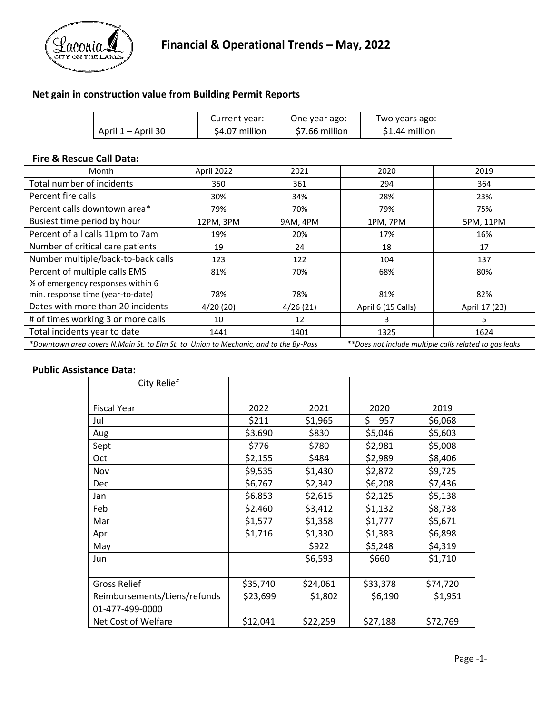

## **Net gain in construction value from Building Permit Reports**

|                    | Current year:  | One year ago:  | Two years ago: |
|--------------------|----------------|----------------|----------------|
| April 1 – April 30 | \$4.07 million | \$7.66 million | \$1.44 million |

#### **Fire & Rescue Call Data:**

| Month                                                                                                                                          | April 2022 | 2021     | 2020               | 2019          |  |  |
|------------------------------------------------------------------------------------------------------------------------------------------------|------------|----------|--------------------|---------------|--|--|
| Total number of incidents                                                                                                                      | 350        | 361      | 294                | 364           |  |  |
| Percent fire calls                                                                                                                             | 30%        | 34%      | 28%                | 23%           |  |  |
| Percent calls downtown area*                                                                                                                   | 79%        | 70%      | 79%                | 75%           |  |  |
| Busiest time period by hour                                                                                                                    | 12PM, 3PM  | 9AM, 4PM | 1PM, 7PM           | 5PM, 11PM     |  |  |
| Percent of all calls 11pm to 7am                                                                                                               | 19%        | 20%      | 17%                | 16%           |  |  |
| Number of critical care patients                                                                                                               | 19         | 24       | 18                 | 17            |  |  |
| Number multiple/back-to-back calls                                                                                                             | 123        | 122      | 104                | 137           |  |  |
| Percent of multiple calls EMS                                                                                                                  | 81%        | 70%      | 68%                | 80%           |  |  |
| % of emergency responses within 6                                                                                                              |            |          |                    |               |  |  |
| min. response time (year-to-date)                                                                                                              | 78%        | 78%      | 81%                | 82%           |  |  |
| Dates with more than 20 incidents                                                                                                              | 4/20(20)   | 4/26(21) | April 6 (15 Calls) | April 17 (23) |  |  |
| # of times working 3 or more calls                                                                                                             | 10         | 12       | 3                  | 5             |  |  |
| Total incidents year to date                                                                                                                   | 1441       | 1401     | 1325               | 1624          |  |  |
| *Downtown area covers N.Main St. to Elm St. to Union to Mechanic, and to the By-Pass<br>**Does not include multiple calls related to gas leaks |            |          |                    |               |  |  |

#### **Public Assistance Data:**

| City Relief                  |          |          |           |          |
|------------------------------|----------|----------|-----------|----------|
|                              |          |          |           |          |
| <b>Fiscal Year</b>           | 2022     | 2021     | 2020      | 2019     |
| Jul                          | \$211    | \$1,965  | \$<br>957 | \$6,068  |
| Aug                          | \$3,690  | \$830    | \$5,046   | \$5,603  |
| Sept                         | \$776    | \$780    | \$2,981   | \$5,008  |
| Oct                          | \$2,155  | \$484    | \$2,989   | \$8,406  |
| Nov                          | \$9,535  | \$1,430  | \$2,872   | \$9,725  |
| <b>Dec</b>                   | \$6,767  | \$2,342  | \$6,208   | \$7,436  |
| Jan                          | \$6,853  | \$2,615  | \$2,125   | \$5,138  |
| Feb                          | \$2,460  | \$3,412  | \$1,132   | \$8,738  |
| Mar                          | \$1,577  | \$1,358  | \$1,777   | \$5,671  |
| Apr                          | \$1,716  | \$1,330  | \$1,383   | \$6,898  |
| May                          |          | \$922    | \$5,248   | \$4,319  |
| Jun                          |          | \$6,593  | \$660     | \$1,710  |
|                              |          |          |           |          |
| <b>Gross Relief</b>          | \$35,740 | \$24,061 | \$33,378  | \$74,720 |
| Reimbursements/Liens/refunds | \$23,699 | \$1,802  | \$6,190   | \$1,951  |
| 01-477-499-0000              |          |          |           |          |
| Net Cost of Welfare          | \$12,041 | \$22,259 | \$27,188  | \$72,769 |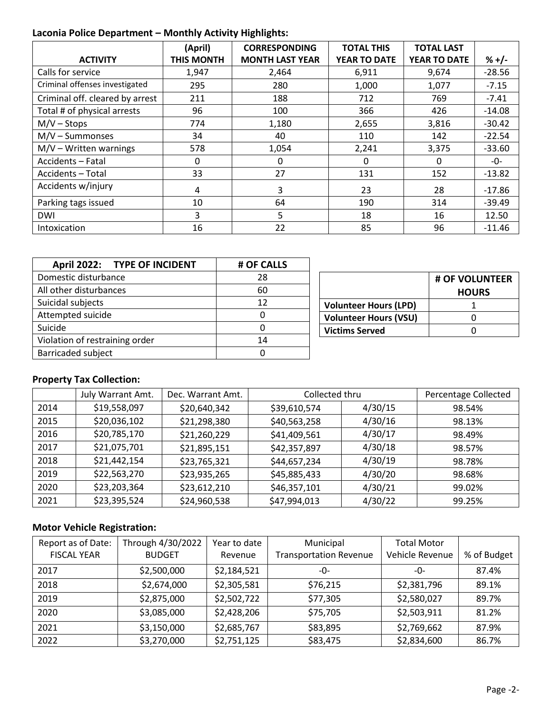## **Laconia Police Department – Monthly Activity Highlights:**

|                                 | (April)           | <b>CORRESPONDING</b>   | <b>TOTAL THIS</b>   | <b>TOTAL LAST</b> |          |
|---------------------------------|-------------------|------------------------|---------------------|-------------------|----------|
| <b>ACTIVITY</b>                 | <b>THIS MONTH</b> | <b>MONTH LAST YEAR</b> | <b>YEAR TO DATE</b> | YEAR TO DATE      | $% +/-$  |
| Calls for service               | 1,947             | 2,464                  | 6,911               | 9,674             | $-28.56$ |
| Criminal offenses investigated  | 295               | 280                    | 1,000               | 1,077             | $-7.15$  |
| Criminal off. cleared by arrest | 211               | 188                    | 712                 | 769               | $-7.41$  |
| Total # of physical arrests     | 96                | 100                    | 366                 | 426               | $-14.08$ |
| $M/V -$ Stops                   | 774               | 1,180                  | 2,655               | 3,816             | $-30.42$ |
| $M/V - Summonses$               | 34                | 40                     | 110                 | 142               | $-22.54$ |
| $M/V - W$ ritten warnings       | 578               | 1,054                  | 2,241               | 3,375             | $-33.60$ |
| Accidents - Fatal               | 0                 | 0                      | 0                   | 0                 | -0-      |
| Accidents - Total               | 33                | 27                     | 131                 | 152               | $-13.82$ |
| Accidents w/injury              | 4                 | 3                      | 23                  | 28                | $-17.86$ |
| Parking tags issued             | 10                | 64                     | 190                 | 314               | $-39.49$ |
| <b>DWI</b>                      | 3                 | 5                      | 18                  | 16                | 12.50    |
| Intoxication                    | 16                | 22                     | 85                  | 96                | $-11.46$ |

| April 2022: TYPE OF INCIDENT   | # OF CALLS |  |  |
|--------------------------------|------------|--|--|
| Domestic disturbance           | 28         |  |  |
| All other disturbances         | 60         |  |  |
| Suicidal subjects              | 12         |  |  |
| Attempted suicide              |            |  |  |
| Suicide                        |            |  |  |
| Violation of restraining order | 14         |  |  |
| <b>Barricaded subject</b>      |            |  |  |

|                              | # OF VOLUNTEER<br><b>HOURS</b> |
|------------------------------|--------------------------------|
| <b>Volunteer Hours (LPD)</b> |                                |
| <b>Volunteer Hours (VSU)</b> |                                |
| <b>Victims Served</b>        |                                |

# **Property Tax Collection:**

|      | July Warrant Amt. | Dec. Warrant Amt. | Collected thru | Percentage Collected |        |
|------|-------------------|-------------------|----------------|----------------------|--------|
| 2014 | \$19,558,097      | \$20,640,342      | \$39,610,574   | 4/30/15              | 98.54% |
| 2015 | \$20,036,102      | \$21,298,380      | \$40,563,258   | 4/30/16              | 98.13% |
| 2016 | \$20,785,170      | \$21,260,229      | \$41,409,561   | 4/30/17              | 98.49% |
| 2017 | \$21,075,701      | \$21,895,151      | \$42,357,897   | 4/30/18              | 98.57% |
| 2018 | \$21,442,154      | \$23,765,321      | \$44,657,234   | 4/30/19              | 98.78% |
| 2019 | \$22,563,270      | \$23,935,265      | \$45,885,433   | 4/30/20              | 98.68% |
| 2020 | \$23,203,364      | \$23,612,210      | \$46,357,101   | 4/30/21              | 99.02% |
| 2021 | \$23,395,524      | \$24,960,538      | \$47,994,013   | 4/30/22              | 99.25% |

## **Motor Vehicle Registration:**

| Report as of Date: | Through 4/30/2022 | Year to date | Municipal                     | <b>Total Motor</b> |             |
|--------------------|-------------------|--------------|-------------------------------|--------------------|-------------|
| <b>FISCAL YEAR</b> | <b>BUDGET</b>     | Revenue      | <b>Transportation Revenue</b> | Vehicle Revenue    | % of Budget |
| 2017               | \$2,500,000       | \$2,184,521  | -0-                           | $-0-$              | 87.4%       |
| 2018               | \$2,674,000       | \$2,305,581  | \$76,215                      | \$2,381,796        | 89.1%       |
| 2019               | \$2,875,000       | \$2,502,722  | \$77,305                      | \$2,580,027        | 89.7%       |
| 2020               | \$3,085,000       | \$2,428,206  | \$75,705                      | \$2,503,911        | 81.2%       |
| 2021               | \$3,150,000       | \$2,685,767  | \$83,895                      | \$2,769,662        | 87.9%       |
| 2022               | \$3,270,000       | \$2,751,125  | \$83,475                      | \$2,834,600        | 86.7%       |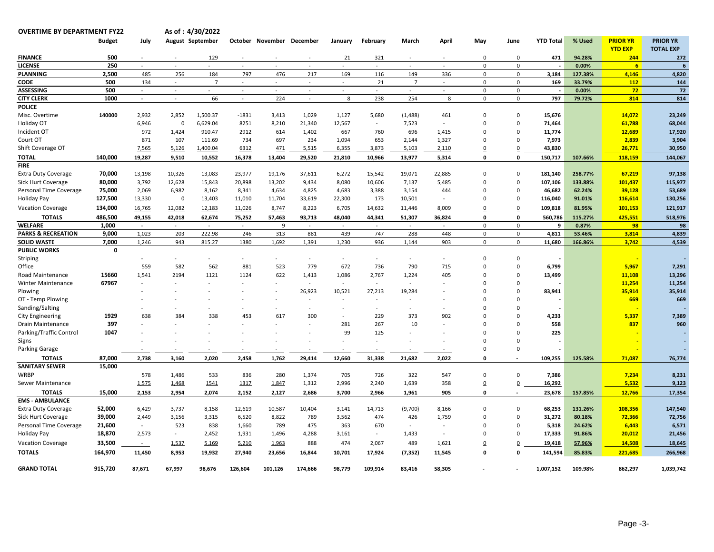**OVERTIME BY DEPARTMENT FY22** 

**4/30/2022**

|                               | <b>Budget</b> | July                     |                | <b>August September</b> |         | October November | December | January | February       | March          | April                    | May            | June           | <b>YTD Total</b> | % Used  | <b>PRIOR YR</b> | <b>PRIOR YR</b>  |
|-------------------------------|---------------|--------------------------|----------------|-------------------------|---------|------------------|----------|---------|----------------|----------------|--------------------------|----------------|----------------|------------------|---------|-----------------|------------------|
|                               |               |                          |                |                         |         |                  |          |         |                |                |                          |                |                |                  |         | <b>YTD EXP</b>  | <b>TOTAL EXP</b> |
| <b>FINANCE</b>                | 500           | $\sim$                   | $\sim$         | 129                     | $\sim$  |                  |          | 21      | 321            | $\sim$         |                          | $\mathbf 0$    | 0              | 471              | 94.28%  | 244             | 272              |
| LICENSE                       | 250           | $\omega$                 |                |                         |         |                  |          |         | $\sim$         |                |                          | $\mathbf 0$    | $\mathbf 0$    |                  | 0.00%   | 6 <sup>1</sup>  | 6                |
| <b>PLANNING</b>               | 2,500         | 485                      | 256            | 184                     | 797     | 476              | 217      | 169     | 116            | 149            | 336                      | $\mathsf 0$    | $\mathsf 0$    | 3,184            | 127.38% | 4,146           | 4,820            |
| <b>CODE</b>                   | 500           | 134                      | $\sim$         | $\overline{7}$          | $\sim$  | $\sim$           | $\sim$   | $\sim$  | 21             | $\overline{7}$ | $\omega$                 | $\mathsf 0$    | $\mathsf 0$    | 169              | 33.79%  | 112             | 144              |
| ASSESSING                     | 500           | $\sim$                   | $\sim$         | $\blacksquare$          |         | $\sim$           | $\sim$   | $\sim$  | $\sim$         | $\sim$         | $\tilde{\phantom{a}}$    | $\mathsf 0$    | 0              |                  | 0.00%   | 72              | 72               |
| <b>CITY CLERK</b>             | 1000          | $\omega$                 | $\sim$         | 66                      | $\sim$  | 224              | $\sim$   | 8       | 238            | 254            | 8                        | $\mathsf 0$    | $\mathbf 0$    | 797              | 79.72%  | 814             | 814              |
| <b>POLICE</b>                 |               |                          |                |                         |         |                  |          |         |                |                |                          |                |                |                  |         |                 |                  |
| Misc. Overtime                | 140000        | 2,932                    | 2,852          | 1,500.37                | $-1831$ | 3,413            | 1,029    | 1,127   | 5,680          | (1, 488)       | 461                      | $\mathbf 0$    | $\Omega$       | 15,676           |         | 14,072          | 23,249           |
| Holiday OT                    |               | 6,946                    | $\mathbf 0$    | 6,629.04                | 8251    | 8,210            | 21,340   | 12,567  | $\omega$       | 7,523          | $\mathcal{L}$            | $\mathbf 0$    | $\Omega$       | 71,464           |         | 61,788          | 68,044           |
| Incident OT                   |               | 972                      | 1,424          | 910.47                  | 2912    | 614              | 1,402    | 667     | 760            | 696            | 1,415                    | 0              | $\Omega$       | 11,774           |         | 12,689          | 17,920           |
| Court OT                      |               | 871                      | 107            | 111.69                  | 734     | 697              | 234      | 1,094   | 653            | 2,144          | 1,327                    | $\mathbf 0$    | $\mathbf 0$    | 7,973            |         | 2,839           | 3,904            |
| Shift Coverage OT             |               | 7,565                    | 5,126          | 1,400.04                | 6312    | 471              | 5,515    | 6,355   | 3,873          | 5,103          | 2,110                    | $\overline{0}$ | $\overline{0}$ | 43,830           |         | 26,771          | 30,950           |
| <b>TOTAL</b>                  | 140,000       | 19,287                   | 9,510          | 10,552                  | 16,378  | 13,404           | 29,520   | 21,810  | 10,966         | 13,977         | 5,314                    | 0              | 0              | 150,717          | 107.66% | 118,159         | 144,067          |
| <b>FIRE</b>                   |               |                          |                |                         |         |                  |          |         |                |                |                          |                |                |                  |         |                 |                  |
| Extra Duty Coverage           | 70,000        | 13,198                   | 10,326         | 13,083                  | 23,977  | 19,176           | 37,611   | 6,272   | 15,542         | 19,071         | 22,885                   | $\Omega$       | $\Omega$       | 181,140          | 258.77% | 67,219          | 97,138           |
| Sick Hurt Coverage            | 80,000        | 3,792                    | 12,628         | 15,843                  | 20,898  | 13,202           | 9,434    | 8,080   | 10,606         | 7,137          | 5,485                    | $\mathsf 0$    | $\Omega$       | 107,106          | 133.88% | 101,437         | 115,977          |
| Personal Time Coverage        | 75,000        | 2,069                    | 6,982          | 8,162                   | 8,341   | 4,634            | 4,825    | 4,683   | 3,388          | 3,154          | 444                      | $\mathbf 0$    | $\Omega$       | 46,682           | 62.24%  | 39,128          | 53,689           |
| <b>Holiday Pay</b>            | 127,500       | 13,330                   | $\mathsf 0$    | 13,403                  | 11,010  | 11,704           | 33,619   | 22,300  | 173            | 10,501         | $\omega$                 | $\mathbf 0$    | $\mathbf 0$    | 116,040          | 91.01%  | 116,614         | 130,256          |
| <b>Vacation Coverage</b>      | 134,000       | 16,765                   | 12,082         | 12,183                  | 11,026  | 8,747            | 8,223    | 6,705   | 14,632         | 11,446         | 8,009                    | $\overline{0}$ | 0              | 109,818          | 81.95%  | 101,153         | 121,917          |
| <b>TOTALS</b>                 | 486,500       | 49,155                   | 42,018         | 62,674                  | 75,252  | 57,463           | 93,713   | 48,040  | 44,341         | 51,307         | 36,824                   | 0              | $\mathbf{0}$   | 560,786          | 115.27% | 425,551         | 518,976          |
| <b>WELFARE</b>                | 1,000         | $\sim$                   | $\sim$         | $\sim$                  | $\sim$  | 9                | $\sim$   | $\sim$  | $\sim$         | $\sim$         | $\sim$                   | $\mathsf 0$    | $\mathsf 0$    | 9                | 0.87%   | 98              | 98               |
| <b>PARKS &amp; RECREATION</b> | 9,000         | 1,023                    | 203            | 222.98                  | 246     | 313              | 881      | 439     | 747            | 288            | 448                      | $\mathbf 0$    | $\mathbf 0$    | 4,811            | 53.46%  | 3,814           | 4,839            |
| <b>SOLID WASTE</b>            | 7,000         | 1,246                    | 943            | 815.27                  | 1380    | 1,692            | 1,391    | 1,230   | 936            | 1,144          | 903                      | $\mathbf{0}$   | $\mathbf{0}$   | 11,680           | 166.86% | 3,742           | 4,539            |
| <b>PUBLIC WORKS</b>           | 0             |                          |                |                         |         |                  |          |         |                |                |                          |                |                |                  |         |                 |                  |
| Striping                      |               | $\blacksquare$           | ä,             | $\omega$                | $\sim$  |                  | $\sim$   | $\sim$  | $\omega$       | $\sim$         | $\overline{\phantom{a}}$ | $\Omega$       | $\Omega$       |                  |         |                 |                  |
| Office                        |               | 559                      | 582            | 562                     | 881     | 523              | 779      | 672     | 736            | 790            | 715                      | $\mathbf 0$    | $\mathbf 0$    | 6,799            |         | 5,967           | 7,291            |
| Road Maintenance              | 15660         | 1,541                    | 2194           | 1121                    | 1124    | 622              | 1,413    | 1,086   | 2,767          | 1,224          | 405                      | $\mathbf 0$    | $\Omega$       | 13,499           |         | 11,108          | 13,296           |
| <b>Winter Maintenance</b>     | 67967         | $\sim$                   |                |                         |         |                  |          | $\sim$  | $\sim$         | $\sim$         |                          | $\Omega$       | $\Omega$       |                  |         | 11,254          | 11,254           |
| Plowing                       |               | $\overline{\phantom{a}}$ |                |                         |         |                  | 26,923   | 10,521  | 27,213         | 19,284         | $\sim$                   | $\Omega$       | $\Omega$       | 83,941           |         | 35,914          | 35,914           |
| OT - Temp Plowing             |               |                          |                |                         |         |                  |          | $\sim$  | $\sim$         |                |                          | $\Omega$       | $\Omega$       |                  |         | 669             | 669              |
| Sanding/Salting               |               | $\sim$                   |                |                         |         |                  |          |         | $\sim$         | $\sim$         | $\sim$                   | $\mathbf 0$    | $\mathbf 0$    |                  |         |                 |                  |
| <b>City Engineering</b>       | 1929          | 638                      | 384            | 338                     | 453     | 617              | 300      | $\sim$  | 229            | 373            | 902                      | $\Omega$       | $\Omega$       | 4,233            |         | 5,337           | 7,389            |
| Drain Maintenance             | 397           |                          |                |                         |         |                  |          | 281     | 267            | 10             |                          | 0              | $\Omega$       | 558              |         | 837             | 960              |
| Parking/Traffic Control       | 1047          |                          |                |                         |         |                  | $\sim$   | 99      | 125            | $\sim$         |                          | $\Omega$       | $\Omega$       | 225              |         |                 |                  |
| Signs                         |               |                          |                |                         |         |                  |          |         | $\sim$         |                |                          | $\Omega$       | $\Omega$       |                  |         |                 |                  |
| <b>Parking Garage</b>         |               |                          |                |                         |         |                  |          |         | $\sim$         |                |                          | $\mathbf 0$    | $\mathsf 0$    |                  |         |                 |                  |
| <b>TOTALS</b>                 | 87,000        | 2,738                    | 3,160          | 2,020                   | 2,458   | 1,762            | 29,414   | 12,660  | 31,338         | 21,682         | 2,022                    | $\mathbf{0}$   |                | 109,255          | 125.58% | 71,087          | 76,774           |
| <b>SANITARY SEWER</b>         | 15,000        |                          |                |                         |         |                  |          |         |                |                |                          |                |                |                  |         |                 |                  |
| <b>WRBP</b>                   |               | 578                      | 1,486          | 533                     | 836     | 280              | 1,374    | 705     | 726            | 322            | 547                      | $\mathbf 0$    | $\mathbf 0$    | 7,386            |         | 7,234           | 8,231            |
| Sewer Maintenance             |               | 1,575                    | 1,468          | 1541                    | 1317    | 1,847            | 1,312    | 2,996   | 2,240          | 1,639          | 358                      | $\overline{0}$ | $\overline{0}$ | 16,292           |         | 5,532           | 9,123            |
| <b>TOTALS</b>                 | 15,000        | 2,153                    | 2,954          | 2,074                   | 2,152   | 2,127            | 2,686    | 3,700   | 2,966          | 1,961          | 905                      | 0              |                | 23,678           | 157.85% | 12,766          | 17,354           |
| <b>EMS - AMBULANCE</b>        |               |                          |                |                         |         |                  |          |         |                |                |                          |                |                |                  |         |                 |                  |
| <b>Extra Duty Coverage</b>    | 52,000        | 6,429                    | 3,737          | 8,158                   | 12,619  | 10,587           | 10,404   | 3,141   | 14,713         | (9,700)        | 8,166                    | $\mathbf 0$    | $\Omega$       | 68,253           | 131.26% | 108,356         | 147,540          |
| Sick Hurt Coverage            | 39,000        | 2,449                    | 3,156          | 3,315                   | 6,520   | 8,822            | 789      | 3,562   | 474            | 426            | 1,759                    | $\Omega$       | $\Omega$       | 31,272           | 80.18%  | 72,366          | 72,756           |
| Personal Time Coverage        | 21,600        | $\sim$                   | 523            | 838                     | 1,660   | 789              | 475      | 363     | 670            | $\omega$       | $\blacksquare$           | $\Omega$       | $\Omega$       | 5,318            | 24.62%  | 6,443           | 6,571            |
| Holiday Pay                   | 18,870        | 2,573                    | $\blacksquare$ | 2,452                   | 1,931   | 1,496            | 4,288    | 3,161   | $\blacksquare$ | 1,433          | $\sim$                   | $\mathbf 0$    | $\mathbf 0$    | 17,333           | 91.86%  | 20,012          | 21,456           |
| <b>Vacation Coverage</b>      | 33,500        | $\sim$                   | 1,537          | 5,169                   | 5,210   | 1,963            | 888      | 474     | 2,067          | 489            | 1,621                    | $\overline{0}$ | 0              | 19,418           | 57.96%  | 14,508          | 18,645           |
| <b>TOTALS</b>                 | 164,970       | 11,450                   | 8,953          | 19,932                  | 27,940  | 23,656           | 16,844   | 10,701  | 17,924         | (7, 352)       | 11,545                   | 0              | $\Omega$       | 141,594          | 85.83%  | 221,685         | 266,968          |
|                               |               |                          |                |                         |         |                  |          |         |                |                |                          |                |                |                  |         |                 |                  |
| <b>GRAND TOTAL</b>            | 915,720       | 87,671                   | 67,997         | 98,676                  | 126,604 | 101,126          | 174,666  | 98,779  | 109,914        | 83,416         | 58,305                   |                |                | 1,007,152        | 109.98% | 862,297         | 1,039,742        |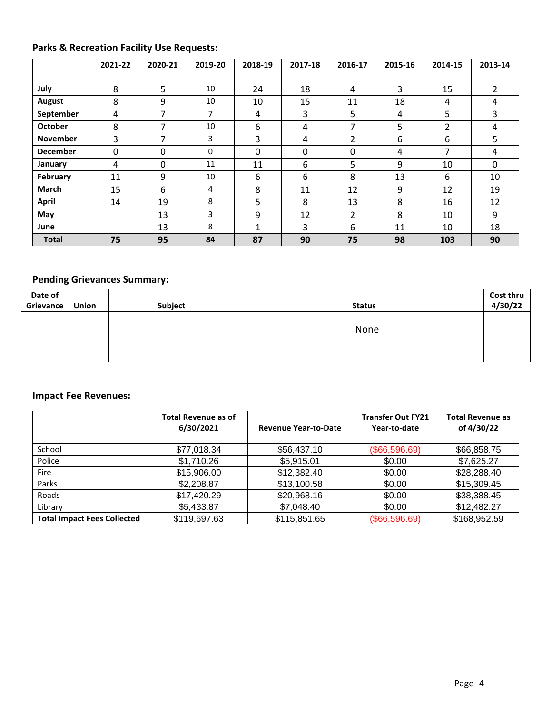# **Parks & Recreation Facility Use Requests:**

|                 | 2021-22      | 2020-21 | 2019-20 | 2018-19     | 2017-18 | 2016-17 | 2015-16 | 2014-15 | 2013-14  |
|-----------------|--------------|---------|---------|-------------|---------|---------|---------|---------|----------|
|                 |              |         |         |             |         |         |         |         |          |
| July            | 8            | 5       | 10      | 24          | 18      | 4       | 3       | 15      | 2        |
| <b>August</b>   | 8            | 9       | 10      | 10          | 15      | 11      | 18      | 4       | 4        |
| September       | 4            | 7       | 7       | 4           | 3       | 5       | 4       | 5       | 3        |
| <b>October</b>  | 8            | 7       | 10      | 6           | 4       | 7       | 5       | 2       | 4        |
| <b>November</b> | 3            | 7       | 3       | 3           | 4       | 2       | 6       | 6       | 5        |
| <b>December</b> | $\mathbf{0}$ | 0       | 0       | 0           | 0       | 0       | 4       | 7       | 4        |
| January         | 4            | 0       | 11      | 11          | 6       | 5       | 9       | 10      | $\Omega$ |
| February        | 11           | 9       | 10      | 6           | 6       | 8       | 13      | 6       | 10       |
| <b>March</b>    | 15           | 6       | 4       | 8           | 11      | 12      | 9       | 12      | 19       |
| <b>April</b>    | 14           | 19      | 8       | 5           | 8       | 13      | 8       | 16      | 12       |
| May             |              | 13      | 3       | 9           | 12      | 2       | 8       | 10      | 9        |
| June            |              | 13      | 8       | $\mathbf 1$ | 3       | 6       | 11      | 10      | 18       |
| <b>Total</b>    | 75           | 95      | 84      | 87          | 90      | 75      | 98      | 103     | 90       |

# **Pending Grievances Summary:**

| Date of   |       |         |               | Cost thru |
|-----------|-------|---------|---------------|-----------|
| Grievance | Union | Subject | <b>Status</b> | 4/30/22   |
|           |       |         |               |           |
|           |       |         | None          |           |
|           |       |         |               |           |
|           |       |         |               |           |
|           |       |         |               |           |

#### **Impact Fee Revenues:**

|                                    | <b>Total Revenue as of</b><br>6/30/2021 | <b>Revenue Year-to-Date</b> | <b>Transfer Out FY21</b><br>Year-to-date | <b>Total Revenue as</b><br>of 4/30/22 |
|------------------------------------|-----------------------------------------|-----------------------------|------------------------------------------|---------------------------------------|
| School                             | \$77,018.34                             | \$56,437.10                 | (\$66,596.69)                            | \$66,858.75                           |
| Police                             | \$1,710.26                              | \$5,915.01                  | \$0.00                                   | \$7,625.27                            |
| Fire                               | \$15,906.00                             | \$12,382.40                 | \$0.00                                   | \$28,288.40                           |
| Parks                              | \$2,208.87                              | \$13,100.58                 | \$0.00                                   | \$15,309.45                           |
| Roads                              | \$17,420.29                             | \$20,968.16                 | \$0.00                                   | \$38,388.45                           |
| Library                            | \$5,433.87                              | \$7,048.40                  | \$0.00                                   | \$12,482.27                           |
| <b>Total Impact Fees Collected</b> | \$119,697.63                            | \$115,851.65                | (\$66,596.69)                            | \$168,952.59                          |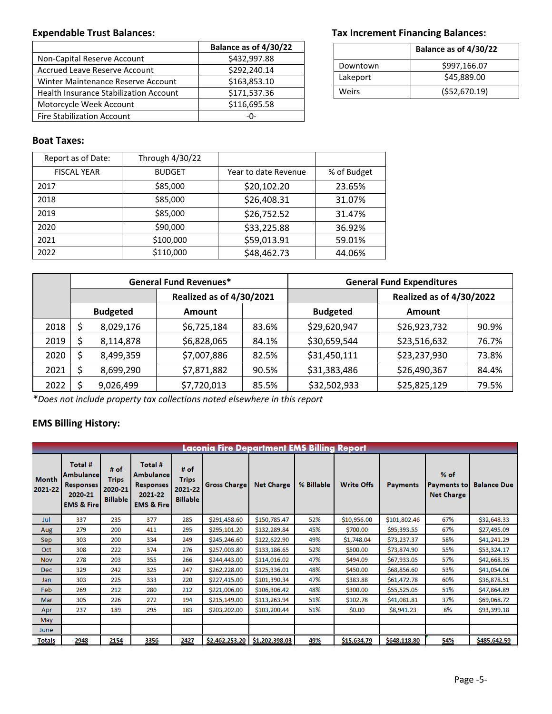|                                        | Balance as of 4/30/22 |
|----------------------------------------|-----------------------|
| Non-Capital Reserve Account            | \$432,997.88          |
| Accrued Leave Reserve Account          | \$292,240.14          |
| Winter Maintenance Reserve Account     | \$163,853.10          |
| Health Insurance Stabilization Account | \$171,537.36          |
| Motorcycle Week Account                | \$116,695.58          |
| <b>Fire Stabilization Account</b>      | -በ-                   |

#### Expendable Trust Balances: **Tax Increment Financing Balances:** Tax Increment Financing Balances:

|          | Balance as of 4/30/22 |
|----------|-----------------------|
| Downtown | \$997,166.07          |
| Lakeport | \$45,889.00           |
| Weirs    | ( \$52,670.19)        |

#### **Boat Taxes:**

| Report as of Date: | Through 4/30/22 |                      |             |  |
|--------------------|-----------------|----------------------|-------------|--|
| <b>FISCAL YEAR</b> | <b>BUDGET</b>   | Year to date Revenue | % of Budget |  |
| 2017               | \$85,000        | \$20,102.20          | 23.65%      |  |
| 2018               | \$85,000        | \$26,408.31          | 31.07%      |  |
| 2019               | \$85,000        | \$26,752.52          | 31.47%      |  |
| 2020               | \$90,000        | \$33,225.88          | 36.92%      |  |
| 2021               | \$100,000       | \$59,013.91          | 59.01%      |  |
| 2022               | \$110,000       | \$48,462.73          | 44.06%      |  |

|      |                                 |           | <b>General Fund Revenues*</b> |       | <b>General Fund Expenditures</b> |               |       |  |  |
|------|---------------------------------|-----------|-------------------------------|-------|----------------------------------|---------------|-------|--|--|
|      | <b>Realized as of 4/30/2021</b> |           |                               |       | <b>Realized as of 4/30/2022</b>  |               |       |  |  |
|      | <b>Budgeted</b>                 |           | <b>Amount</b>                 |       | <b>Budgeted</b>                  | <b>Amount</b> |       |  |  |
| 2018 |                                 | 8,029,176 | \$6,725,184                   | 83.6% | \$29,620,947                     | \$26,923,732  | 90.9% |  |  |
| 2019 |                                 | 8,114,878 | \$6,828,065                   | 84.1% | \$30,659,544                     | \$23,516,632  | 76.7% |  |  |
| 2020 |                                 | 8,499,359 | \$7,007,886                   | 82.5% | \$31,450,111                     | \$23,237,930  | 73.8% |  |  |
| 2021 |                                 | 8,699,290 | \$7,871,882                   | 90.5% | \$31,383,486                     | \$26,490,367  | 84.4% |  |  |
| 2022 |                                 | 9,026,499 | \$7,720,013                   | 85.5% | \$32,502,933                     | \$25,825,129  | 79.5% |  |  |

*\*Does not include property tax collections noted elsewhere in this report*

## **EMS Billing History:**

| Laconia Fire Department EMS Billing Report |                                                                                |                                                    |                                                                                     |                                                      |                     |                   |            |                   |                 |                                                   |                    |
|--------------------------------------------|--------------------------------------------------------------------------------|----------------------------------------------------|-------------------------------------------------------------------------------------|------------------------------------------------------|---------------------|-------------------|------------|-------------------|-----------------|---------------------------------------------------|--------------------|
| Month<br>2021-22                           | Total #<br>Ambulancel<br><b>Responses</b><br>2020-21<br><b>EMS &amp; Firel</b> | # of<br><b>Trips</b><br>2020-21<br><b>Billable</b> | Total #<br><b>Ambulance</b><br><b>Responses</b><br>2021-22<br><b>EMS &amp; Fire</b> | $#$ of<br><b>Trips</b><br>2021-22<br><b>Billable</b> | <b>Gross Charge</b> | <b>Net Charge</b> | % Billable | <b>Write Offs</b> | <b>Payments</b> | $%$ of<br><b>Payments to</b><br><b>Net Charge</b> | <b>Balance Due</b> |
| Jul                                        | 337                                                                            | 235                                                | 377                                                                                 | 285                                                  | \$291,458.60        | \$150,785.47      | 52%        | \$10,956.00       | \$101,802.46    | 67%                                               | \$32,648.33        |
| Aug                                        | 279                                                                            | 200                                                | 411                                                                                 | 295                                                  | \$295,101.20        | \$132,289.84      | 45%        | \$700.00          | \$95,393.55     | 67%                                               | \$27,495.09        |
| Sep.                                       | 303                                                                            | 200                                                | 334                                                                                 | 249                                                  | \$245,246.60        | \$122,622.90      | 49%        | \$1,748.04        | \$73,237.37     | 58%                                               | \$41,241.29        |
| Oct                                        | 308                                                                            | 222                                                | 374                                                                                 | 276                                                  | \$257,003.80        | \$133,186.65      | 52%        | \$500.00          | \$73,874.90     | 55%                                               | \$53,324.17        |
| <b>Nov</b>                                 | 278                                                                            | 203                                                | 355                                                                                 | 266                                                  | \$244,443.00        | \$114,016.02      | 47%        | \$494.09          | \$67,933.05     | 57%                                               | \$42,668.35        |
| Dec.                                       | 329                                                                            | 242                                                | 325                                                                                 | 247                                                  | \$262,228.00        | \$125,336.01      | 48%        | \$450.00          | \$68,856.60     | 53%                                               | \$41,054.06        |
| Jan                                        | 303                                                                            | 225                                                | 333                                                                                 | 220                                                  | \$227,415.00        | \$101,390.34      | 47%        | \$383.88          | \$61,472.78     | 60%                                               | \$36,878.51        |
| <b>Feb</b>                                 | 269                                                                            | 212                                                | 280                                                                                 | 212                                                  | \$221,006.00        | \$106,306.42      | 48%        | \$300.00          | \$55,525.05     | 51%                                               | \$47,864.89        |
| Mar                                        | 305                                                                            | 226                                                | 272                                                                                 | 194                                                  | \$215,149.00        | \$113,263.94      | 51%        | \$102.78          | \$41,081.81     | 37%                                               | \$69,068.72        |
| Apr                                        | 237                                                                            | 189                                                | 295                                                                                 | 183                                                  | \$203,202.00        | \$103,200.44      | 51%        | \$0.00            | \$8,941.23      | 8%                                                | \$93,399.18        |
| May                                        |                                                                                |                                                    |                                                                                     |                                                      |                     |                   |            |                   |                 |                                                   |                    |
| <b>June</b>                                |                                                                                |                                                    |                                                                                     |                                                      |                     |                   |            |                   |                 |                                                   |                    |
| <b>Totals</b>                              | 2948                                                                           | 2154                                               | 3356                                                                                | 2427                                                 | \$2,462,253.20      | \$1,202,398.03    | 49%        | \$15,634.79       | \$648,118.80    | 54%                                               | \$485,642.59       |